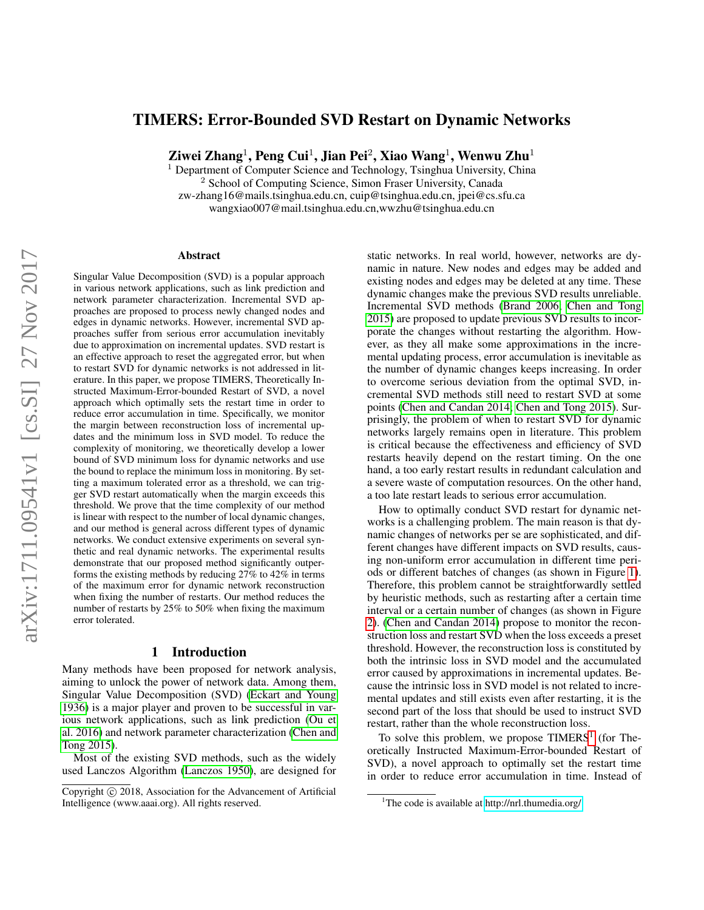# TIMERS: Error-Bounded SVD Restart on Dynamic Networks

Ziwei Zhang $^1$ , Peng Cui $^1$ , Jian Pei $^2$ , Xiao Wang $^1$ , Wenwu Zhu $^1$ 

<sup>1</sup> Department of Computer Science and Technology, Tsinghua University, China <sup>2</sup> School of Computing Science, Simon Fraser University, Canada zw-zhang16@mails.tsinghua.edu.cn, cuip@tsinghua.edu.cn, jpei@cs.sfu.ca wangxiao007@mail.tsinghua.edu.cn,wwzhu@tsinghua.edu.cn

#### Abstract

Singular Value Decomposition (SVD) is a popular approach in various network applications, such as link prediction and network parameter characterization. Incremental SVD approaches are proposed to process newly changed nodes and edges in dynamic networks. However, incremental SVD approaches suffer from serious error accumulation inevitably due to approximation on incremental updates. SVD restart is an effective approach to reset the aggregated error, but when to restart SVD for dynamic networks is not addressed in literature. In this paper, we propose TIMERS, Theoretically Instructed Maximum-Error-bounded Restart of SVD, a novel approach which optimally sets the restart time in order to reduce error accumulation in time. Specifically, we monitor the margin between reconstruction loss of incremental updates and the minimum loss in SVD model. To reduce the complexity of monitoring, we theoretically develop a lower bound of SVD minimum loss for dynamic networks and use the bound to replace the minimum loss in monitoring. By setting a maximum tolerated error as a threshold, we can trigger SVD restart automatically when the margin exceeds this threshold. We prove that the time complexity of our method is linear with respect to the number of local dynamic changes, and our method is general across different types of dynamic networks. We conduct extensive experiments on several synthetic and real dynamic networks. The experimental results demonstrate that our proposed method significantly outperforms the existing methods by reducing 27% to 42% in terms of the maximum error for dynamic network reconstruction when fixing the number of restarts. Our method reduces the number of restarts by 25% to 50% when fixing the maximum error tolerated.

### 1 Introduction

Many methods have been proposed for network analysis, aiming to unlock the power of network data. Among them, Singular Value Decomposition (SVD) [\(Eckart and Young](#page-7-0) [1936\)](#page-7-0) is a major player and proven to be successful in various network applications, such as link prediction [\(Ou et](#page-7-1) [al. 2016\)](#page-7-1) and network parameter characterization [\(Chen and](#page-7-2) [Tong 2015\)](#page-7-2).

Most of the existing SVD methods, such as the widely used Lanczos Algorithm [\(Lanczos 1950\)](#page-7-3), are designed for static networks. In real world, however, networks are dynamic in nature. New nodes and edges may be added and existing nodes and edges may be deleted at any time. These dynamic changes make the previous SVD results unreliable. Incremental SVD methods [\(Brand 2006;](#page-7-4) [Chen and Tong](#page-7-2) [2015\)](#page-7-2) are proposed to update previous SVD results to incorporate the changes without restarting the algorithm. However, as they all make some approximations in the incremental updating process, error accumulation is inevitable as the number of dynamic changes keeps increasing. In order to overcome serious deviation from the optimal SVD, incremental SVD methods still need to restart SVD at some points [\(Chen and Candan 2014;](#page-7-5) [Chen and Tong 2015\)](#page-7-2). Surprisingly, the problem of when to restart SVD for dynamic networks largely remains open in literature. This problem is critical because the effectiveness and efficiency of SVD restarts heavily depend on the restart timing. On the one hand, a too early restart results in redundant calculation and a severe waste of computation resources. On the other hand, a too late restart leads to serious error accumulation.

How to optimally conduct SVD restart for dynamic networks is a challenging problem. The main reason is that dynamic changes of networks per se are sophisticated, and different changes have different impacts on SVD results, causing non-uniform error accumulation in different time periods or different batches of changes (as shown in Figure [1\)](#page-1-0). Therefore, this problem cannot be straightforwardly settled by heuristic methods, such as restarting after a certain time interval or a certain number of changes (as shown in Figure [2\)](#page-1-1). [\(Chen and Candan 2014\)](#page-7-5) propose to monitor the reconstruction loss and restart SVD when the loss exceeds a preset threshold. However, the reconstruction loss is constituted by both the intrinsic loss in SVD model and the accumulated error caused by approximations in incremental updates. Because the intrinsic loss in SVD model is not related to incremental updates and still exists even after restarting, it is the second part of the loss that should be used to instruct SVD restart, rather than the whole reconstruction loss.

To solve this problem, we propose  $TIMERS<sup>1</sup>$  $TIMERS<sup>1</sup>$  $TIMERS<sup>1</sup>$  (for Theoretically Instructed Maximum-Error-bounded Restart of SVD), a novel approach to optimally set the restart time in order to reduce error accumulation in time. Instead of

Copyright  $\odot$  2018, Association for the Advancement of Artificial Intelligence (www.aaai.org). All rights reserved.

<span id="page-0-0"></span><sup>&</sup>lt;sup>1</sup>The code is available at<http://nrl.thumedia.org/>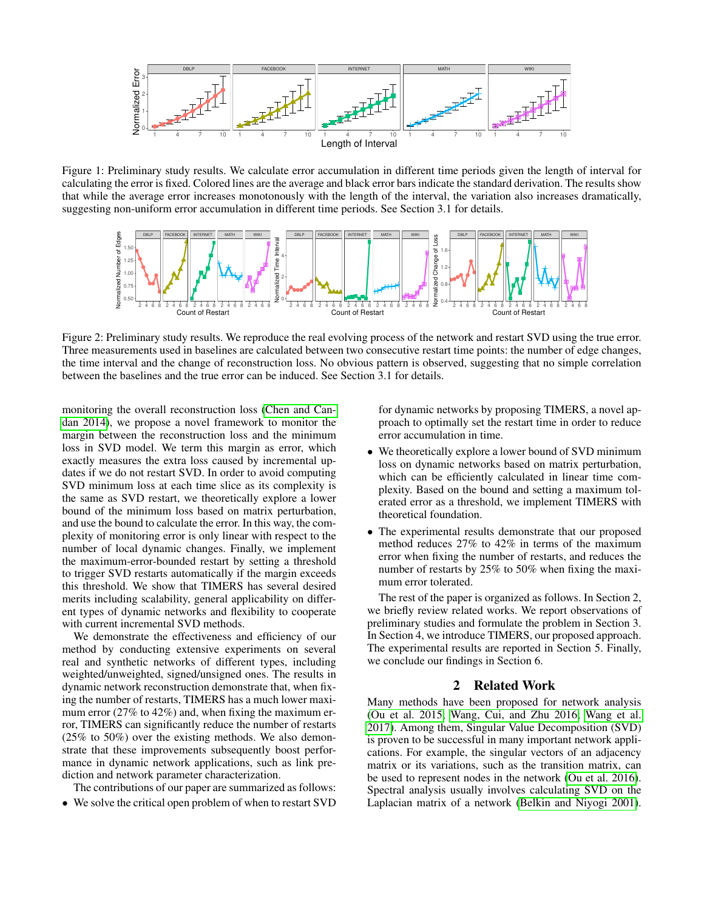

<span id="page-1-0"></span>Figure 1: Preliminary study results. We calculate error accumulation in different time periods given the length of interval for calculating the error is fixed. Colored lines are the average and black error bars indicate the standard derivation. The results show that while the average error increases monotonously with the length of the interval, the variation also increases dramatically, suggesting non-uniform error accumulation in different time periods. See Section 3.1 for details.



<span id="page-1-1"></span>Figure 2: Preliminary study results. We reproduce the real evolving process of the network and restart SVD using the true error. Three measurements used in baselines are calculated between two consecutive restart time points: the number of edge changes, the time interval and the change of reconstruction loss. No obvious pattern is observed, suggesting that no simple correlation between the baselines and the true error can be induced. See Section 3.1 for details.

monitoring the overall reconstruction loss [\(Chen and Can](#page-7-5)[dan 2014\)](#page-7-5), we propose a novel framework to monitor the margin between the reconstruction loss and the minimum loss in SVD model. We term this margin as error, which exactly measures the extra loss caused by incremental updates if we do not restart SVD. In order to avoid computing SVD minimum loss at each time slice as its complexity is the same as SVD restart, we theoretically explore a lower bound of the minimum loss based on matrix perturbation, and use the bound to calculate the error. In this way, the complexity of monitoring error is only linear with respect to the number of local dynamic changes. Finally, we implement the maximum-error-bounded restart by setting a threshold to trigger SVD restarts automatically if the margin exceeds this threshold. We show that TIMERS has several desired merits including scalability, general applicability on different types of dynamic networks and flexibility to cooperate with current incremental SVD methods.

We demonstrate the effectiveness and efficiency of our method by conducting extensive experiments on several real and synthetic networks of different types, including weighted/unweighted, signed/unsigned ones. The results in dynamic network reconstruction demonstrate that, when fixing the number of restarts, TIMERS has a much lower maximum error (27% to 42%) and, when fixing the maximum error, TIMERS can significantly reduce the number of restarts (25% to 50%) over the existing methods. We also demonstrate that these improvements subsequently boost performance in dynamic network applications, such as link prediction and network parameter characterization.

The contributions of our paper are summarized as follows:

• We solve the critical open problem of when to restart SVD

for dynamic networks by proposing TIMERS, a novel approach to optimally set the restart time in order to reduce error accumulation in time.

- We theoretically explore a lower bound of SVD minimum loss on dynamic networks based on matrix perturbation, which can be efficiently calculated in linear time complexity. Based on the bound and setting a maximum tolerated error as a threshold, we implement TIMERS with theoretical foundation.
- The experimental results demonstrate that our proposed method reduces 27% to 42% in terms of the maximum error when fixing the number of restarts, and reduces the number of restarts by 25% to 50% when fixing the maximum error tolerated.

The rest of the paper is organized as follows. In Section 2, we briefly review related works. We report observations of preliminary studies and formulate the problem in Section 3. In Section 4, we introduce TIMERS, our proposed approach. The experimental results are reported in Section 5. Finally, we conclude our findings in Section 6.

# 2 Related Work

Many methods have been proposed for network analysis [\(Ou et al. 2015;](#page-7-6) [Wang, Cui, and Zhu 2016;](#page-8-0) [Wang et al.](#page-8-1) [2017\)](#page-8-1). Among them, Singular Value Decomposition (SVD) is proven to be successful in many important network applications. For example, the singular vectors of an adjacency matrix or its variations, such as the transition matrix, can be used to represent nodes in the network [\(Ou et al. 2016\)](#page-7-1). Spectral analysis usually involves calculating SVD on the Laplacian matrix of a network [\(Belkin and Niyogi 2001\)](#page-7-7).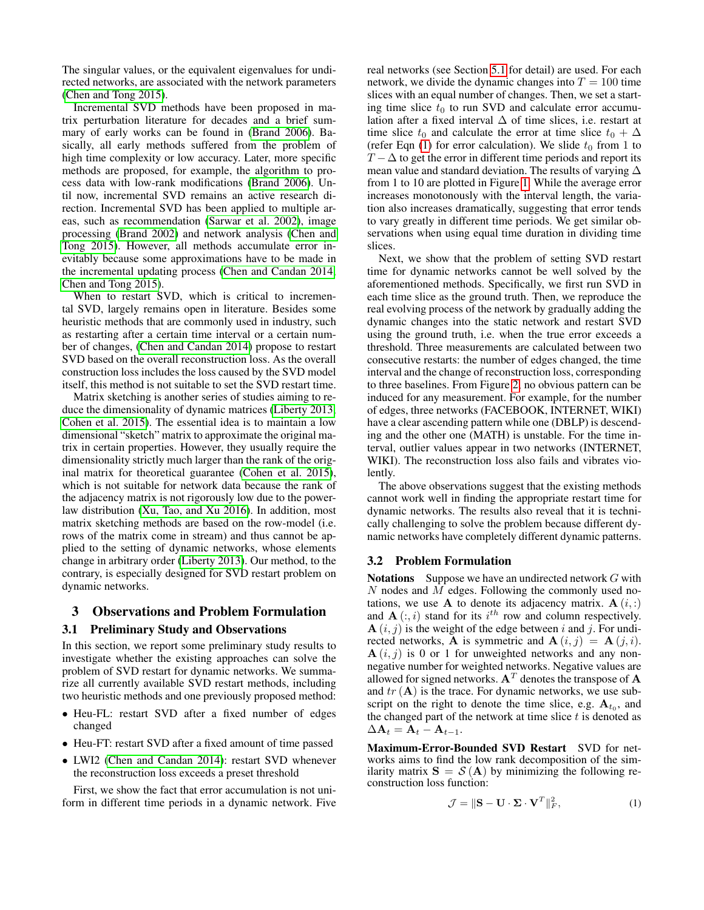The singular values, or the equivalent eigenvalues for undirected networks, are associated with the network parameters [\(Chen and Tong 2015\)](#page-7-2).

Incremental SVD methods have been proposed in matrix perturbation literature for decades and a brief summary of early works can be found in [\(Brand 2006\)](#page-7-4). Basically, all early methods suffered from the problem of high time complexity or low accuracy. Later, more specific methods are proposed, for example, the algorithm to process data with low-rank modifications [\(Brand 2006\)](#page-7-4). Until now, incremental SVD remains an active research direction. Incremental SVD has been applied to multiple areas, such as recommendation [\(Sarwar et al. 2002\)](#page-7-8), image processing [\(Brand 2002\)](#page-7-9) and network analysis [\(Chen and](#page-7-2) [Tong 2015\)](#page-7-2). However, all methods accumulate error inevitably because some approximations have to be made in the incremental updating process [\(Chen and Candan 2014;](#page-7-5) [Chen and Tong 2015\)](#page-7-2).

When to restart SVD, which is critical to incremental SVD, largely remains open in literature. Besides some heuristic methods that are commonly used in industry, such as restarting after a certain time interval or a certain number of changes, [\(Chen and Candan 2014\)](#page-7-5) propose to restart SVD based on the overall reconstruction loss. As the overall construction loss includes the loss caused by the SVD model itself, this method is not suitable to set the SVD restart time.

Matrix sketching is another series of studies aiming to reduce the dimensionality of dynamic matrices [\(Liberty 2013;](#page-7-10) [Cohen et al. 2015\)](#page-7-11). The essential idea is to maintain a low dimensional "sketch" matrix to approximate the original matrix in certain properties. However, they usually require the dimensionality strictly much larger than the rank of the original matrix for theoretical guarantee [\(Cohen et al. 2015\)](#page-7-11), which is not suitable for network data because the rank of the adjacency matrix is not rigorously low due to the powerlaw distribution [\(Xu, Tao, and Xu 2016\)](#page-8-2). In addition, most matrix sketching methods are based on the row-model (i.e. rows of the matrix come in stream) and thus cannot be applied to the setting of dynamic networks, whose elements change in arbitrary order [\(Liberty 2013\)](#page-7-10). Our method, to the contrary, is especially designed for SVD restart problem on dynamic networks.

# 3 Observations and Problem Formulation

### 3.1 Preliminary Study and Observations

In this section, we report some preliminary study results to investigate whether the existing approaches can solve the problem of SVD restart for dynamic networks. We summarize all currently available SVD restart methods, including two heuristic methods and one previously proposed method:

- Heu-FL: restart SVD after a fixed number of edges changed
- Heu-FT: restart SVD after a fixed amount of time passed
- LWI2 [\(Chen and Candan 2014\)](#page-7-5): restart SVD whenever the reconstruction loss exceeds a preset threshold

First, we show the fact that error accumulation is not uniform in different time periods in a dynamic network. Five real networks (see Section [5.1](#page-4-0) for detail) are used. For each network, we divide the dynamic changes into  $T = 100$  time slices with an equal number of changes. Then, we set a starting time slice  $t_0$  to run SVD and calculate error accumulation after a fixed interval  $\Delta$  of time slices, i.e. restart at time slice  $t_0$  and calculate the error at time slice  $t_0 + \Delta$ (refer Eqn  $(1)$  for error calculation). We slide  $t_0$  from 1 to  $T - \Delta$  to get the error in different time periods and report its mean value and standard deviation. The results of varying ∆ from 1 to 10 are plotted in Figure [1.](#page-1-0) While the average error increases monotonously with the interval length, the variation also increases dramatically, suggesting that error tends to vary greatly in different time periods. We get similar observations when using equal time duration in dividing time slices.

Next, we show that the problem of setting SVD restart time for dynamic networks cannot be well solved by the aforementioned methods. Specifically, we first run SVD in each time slice as the ground truth. Then, we reproduce the real evolving process of the network by gradually adding the dynamic changes into the static network and restart SVD using the ground truth, i.e. when the true error exceeds a threshold. Three measurements are calculated between two consecutive restarts: the number of edges changed, the time interval and the change of reconstruction loss, corresponding to three baselines. From Figure [2,](#page-1-1) no obvious pattern can be induced for any measurement. For example, for the number of edges, three networks (FACEBOOK, INTERNET, WIKI) have a clear ascending pattern while one (DBLP) is descending and the other one (MATH) is unstable. For the time interval, outlier values appear in two networks (INTERNET, WIKI). The reconstruction loss also fails and vibrates violently.

The above observations suggest that the existing methods cannot work well in finding the appropriate restart time for dynamic networks. The results also reveal that it is technically challenging to solve the problem because different dynamic networks have completely different dynamic patterns.

### 3.2 Problem Formulation

**Notations** Suppose we have an undirected network  $G$  with N nodes and M edges. Following the commonly used notations, we use **A** to denote its adjacency matrix.  $\mathbf{A}(i,:)$ and  $\mathbf{A}(:,i)$  stand for its  $i^{th}$  row and column respectively.  $\mathbf{A}(i, j)$  is the weight of the edge between i and j. For undirected networks, **A** is symmetric and  $\mathbf{A}(i, j) = \mathbf{A}(j, i)$ .  $A(i, j)$  is 0 or 1 for unweighted networks and any nonnegative number for weighted networks. Negative values are allowed for signed networks.  $A<sup>T</sup>$  denotes the transpose of A and  $tr(A)$  is the trace. For dynamic networks, we use subscript on the right to denote the time slice, e.g.  $A_{t_0}$ , and the changed part of the network at time slice  $t$  is denoted as  $\Delta A_t = A_t - A_{t-1}.$ 

Maximum-Error-Bounded SVD Restart SVD for networks aims to find the low rank decomposition of the similarity matrix  $S = S(A)$  by minimizing the following reconstruction loss function:

<span id="page-2-0"></span>
$$
\mathcal{J} = \|\mathbf{S} - \mathbf{U} \cdot \mathbf{\Sigma} \cdot \mathbf{V}^T\|_F^2, \tag{1}
$$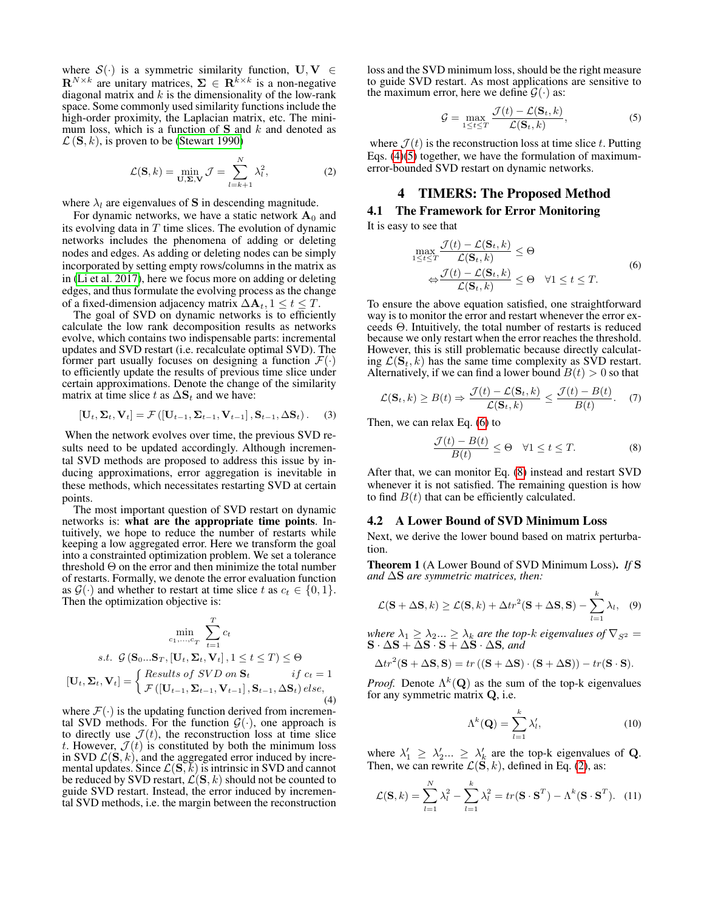where  $S(\cdot)$  is a symmetric similarity function,  $U, V \in$  $\mathbf{R}^{N \times k}$  are unitary matrices,  $\Sigma \in \mathbf{R}^{k \times k}$  is a non-negative diagonal matrix and  $k$  is the dimensionality of the low-rank space. Some commonly used similarity functions include the high-order proximity, the Laplacian matrix, etc. The minimum loss, which is a function of  $S$  and k and denoted as  $\mathcal{L}(\mathbf{S}, k)$ , is proven to be [\(Stewart 1990\)](#page-7-12)

<span id="page-3-4"></span>
$$
\mathcal{L}(\mathbf{S}, k) = \min_{\mathbf{U}, \mathbf{\Sigma}, \mathbf{V}} \mathcal{J} = \sum_{l=k+1}^{N} \lambda_l^2,
$$
 (2)

where  $\lambda_l$  are eigenvalues of **S** in descending magnitude.

For dynamic networks, we have a static network  $A_0$  and its evolving data in  $T$  time slices. The evolution of dynamic networks includes the phenomena of adding or deleting nodes and edges. As adding or deleting nodes can be simply incorporated by setting empty rows/columns in the matrix as in [\(Li et al. 2017\)](#page-7-13), here we focus more on adding or deleting edges, and thus formulate the evolving process as the change of a fixed-dimension adjacency matrix  $\Delta A_t$ ,  $1 \le t \le T$ .

The goal of SVD on dynamic networks is to efficiently calculate the low rank decomposition results as networks evolve, which contains two indispensable parts: incremental updates and SVD restart (i.e. recalculate optimal SVD). The former part usually focuses on designing a function  $\mathcal{F}(\cdot)$ to efficiently update the results of previous time slice under certain approximations. Denote the change of the similarity matrix at time slice t as  $\Delta S_t$  and we have:

$$
[\mathbf{U}_t, \mathbf{\Sigma}_t, \mathbf{V}_t] = \mathcal{F}\left([\mathbf{U}_{t-1}, \mathbf{\Sigma}_{t-1}, \mathbf{V}_{t-1}], \mathbf{S}_{t-1}, \Delta \mathbf{S}_t\right). \tag{3}
$$

When the network evolves over time, the previous SVD results need to be updated accordingly. Although incremental SVD methods are proposed to address this issue by inducing approximations, error aggregation is inevitable in these methods, which necessitates restarting SVD at certain points.

The most important question of SVD restart on dynamic networks is: what are the appropriate time points. Intuitively, we hope to reduce the number of restarts while keeping a low aggregated error. Here we transform the goal into a constrainted optimization problem. We set a tolerance threshold  $\Theta$  on the error and then minimize the total number of restarts. Formally, we denote the error evaluation function as  $\mathcal{G}(\cdot)$  and whether to restart at time slice t as  $c_t \in \{0, 1\}$ . Then the optimization objective is:

<span id="page-3-0"></span>
$$
\min_{c_1, \dots, c_T} \sum_{t=1}^T c_t
$$
  
s.t.  $\mathcal{G}(\mathbf{S}_0 \dots \mathbf{S}_T, [\mathbf{U}_t, \mathbf{\Sigma}_t, \mathbf{V}_t], 1 \le t \le T) \le \Theta$   

$$
[\mathbf{U}_t, \mathbf{\Sigma}_t, \mathbf{V}_t] = \begin{cases} Results \ of \ SVD \ on \ \mathbf{S}_t & \ \ \text{if} \ c_t = 1\\ \mathcal{F}([\mathbf{U}_{t-1}, \mathbf{\Sigma}_{t-1}, \mathbf{V}_{t-1}], \mathbf{S}_{t-1}, \Delta \mathbf{S}_t) \ else, \end{cases} \tag{4}
$$

where  $\mathcal{F}(\cdot)$  is the updating function derived from incremental SVD methods. For the function  $G(\cdot)$ , one approach is to directly use  $\mathcal{J}(t)$ , the reconstruction loss at time slice t. However,  $\mathcal{J}(t)$  is constituted by both the minimum loss in SVD  $\mathcal{L}(\mathbf{S}, k)$ , and the aggregated error induced by incremental updates. Since  $\mathcal{L}(\mathbf{S}, \vec{k})$  is intrinsic in SVD and cannot be reduced by SVD restart,  $\mathcal{L}(\mathbf{S}, k)$  should not be counted to guide SVD restart. Instead, the error induced by incremental SVD methods, i.e. the margin between the reconstruction loss and the SVD minimum loss, should be the right measure to guide SVD restart. As most applications are sensitive to the maximum error, here we define  $\mathcal{G}(\cdot)$  as:

<span id="page-3-1"></span>
$$
\mathcal{G} = \max_{1 \le t \le T} \frac{\mathcal{J}(t) - \mathcal{L}(\mathbf{S}_t, k)}{\mathcal{L}(\mathbf{S}_t, k)},
$$
(5)

where  $\mathcal{J}(t)$  is the reconstruction loss at time slice t. Putting Eqs. [\(4\)](#page-3-0)[\(5\)](#page-3-1) together, we have the formulation of maximumerror-bounded SVD restart on dynamic networks.

### 4 TIMERS: The Proposed Method

# 4.1 The Framework for Error Monitoring

It is easy to see that

<span id="page-3-2"></span>
$$
\max_{1 \le t \le T} \frac{\mathcal{J}(t) - \mathcal{L}(\mathbf{S}_t, k)}{\mathcal{L}(\mathbf{S}_t, k)} \le \Theta
$$
\n
$$
\Leftrightarrow \frac{\mathcal{J}(t) - \mathcal{L}(\mathbf{S}_t, k)}{\mathcal{L}(\mathbf{S}_t, k)} \le \Theta \quad \forall 1 \le t \le T.
$$
\n(6)

To ensure the above equation satisfied, one straightforward way is to monitor the error and restart whenever the error exceeds Θ. Intuitively, the total number of restarts is reduced because we only restart when the error reaches the threshold. However, this is still problematic because directly calculating  $\mathcal{L}(\mathbf{S}_t, k)$  has the same time complexity as SVD restart. Alternatively, if we can find a lower bound  $B(t) > 0$  so that

$$
\mathcal{L}(\mathbf{S}_t, k) \ge B(t) \Rightarrow \frac{\mathcal{J}(t) - \mathcal{L}(\mathbf{S}_t, k)}{\mathcal{L}(\mathbf{S}_t, k)} \le \frac{\mathcal{J}(t) - B(t)}{B(t)}.\tag{7}
$$

Then, we can relax Eq. [\(6\)](#page-3-2) to

<span id="page-3-3"></span>
$$
\frac{\mathcal{J}(t) - B(t)}{B(t)} \le \Theta \quad \forall 1 \le t \le T. \tag{8}
$$

After that, we can monitor Eq. [\(8\)](#page-3-3) instead and restart SVD whenever it is not satisfied. The remaining question is how to find  $B(t)$  that can be efficiently calculated.

#### 4.2 A Lower Bound of SVD Minimum Loss

Next, we derive the lower bound based on matrix perturbation.

Theorem 1 (A Lower Bound of SVD Minimum Loss). *If* S *and* ∆S *are symmetric matrices, then:*

$$
\mathcal{L}(\mathbf{S} + \Delta \mathbf{S}, k) \ge \mathcal{L}(\mathbf{S}, k) + \Delta t r^2 (\mathbf{S} + \Delta \mathbf{S}, \mathbf{S}) - \sum_{l=1}^{k} \lambda_l,
$$
 (9)

*where*  $\lambda_1 \geq \lambda_2 ... \geq \lambda_k$  *are the top-k eigenvalues of*  $\nabla_{S^2}$  =  $\mathbf{S} \cdot \Delta \mathbf{S} + \Delta \mathbf{S} \cdot \mathbf{S} + \Delta \mathbf{S} \cdot \Delta \mathbf{S}$ *, and* 

$$
\Delta tr^{2}(\mathbf{S} + \Delta \mathbf{S}, \mathbf{S}) = tr ((\mathbf{S} + \Delta \mathbf{S}) \cdot (\mathbf{S} + \Delta \mathbf{S})) - tr(\mathbf{S} \cdot \mathbf{S}).
$$

*Proof.* Denote  $\Lambda^k(Q)$  as the sum of the top-k eigenvalues for any symmetric matrix Q, i.e.

$$
\Lambda^k(\mathbf{Q}) = \sum_{l=1}^k \lambda'_l,\tag{10}
$$

where  $\lambda'_1 \geq \lambda'_2 ... \geq \lambda'_k$  are the top-k eigenvalues of **Q**. Then, we can rewrite  $\mathcal{L}(\mathbf{S}, k)$ , defined in Eq. [\(2\)](#page-3-4), as:

<span id="page-3-5"></span>
$$
\mathcal{L}(\mathbf{S},k) = \sum_{l=1}^{N} \lambda_l^2 - \sum_{l=1}^{k} \lambda_l^2 = tr(\mathbf{S} \cdot \mathbf{S}^T) - \Lambda^k(\mathbf{S} \cdot \mathbf{S}^T). \tag{11}
$$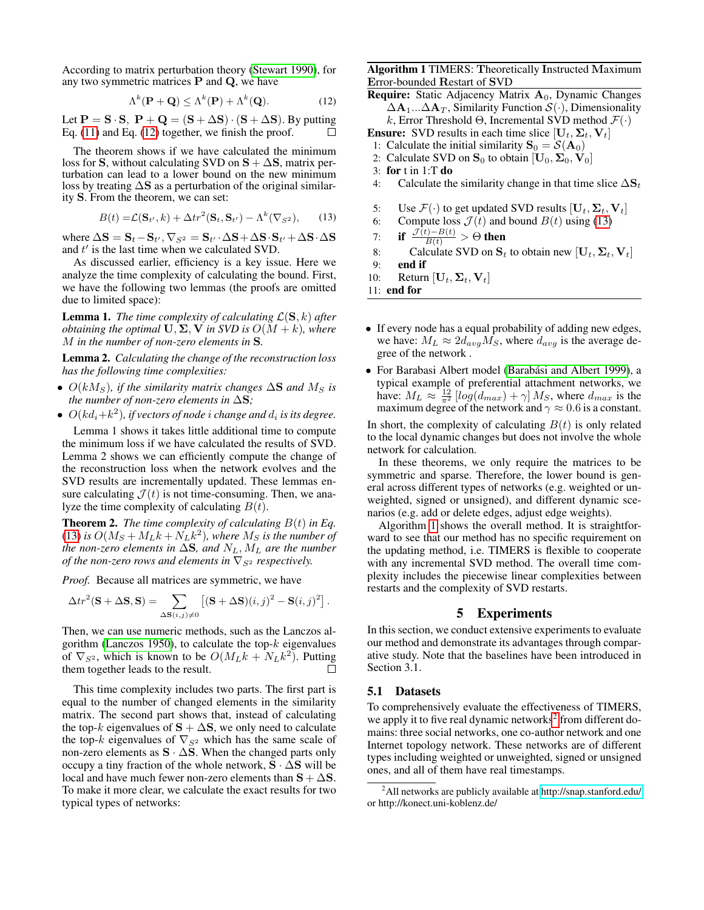According to matrix perturbation theory [\(Stewart 1990\)](#page-7-12), for any two symmetric matrices  $P$  and  $Q$ , we have

<span id="page-4-1"></span>
$$
\Lambda^{k}(\mathbf{P} + \mathbf{Q}) \leq \Lambda^{k}(\mathbf{P}) + \Lambda^{k}(\mathbf{Q}).
$$
 (12)

Let  $P = S \cdot S$ ,  $P + Q = (S + \Delta S) \cdot (S + \Delta S)$ . By putting Eq. [\(11\)](#page-3-5) and Eq. [\(12\)](#page-4-1) together, we finish the proof. П

The theorem shows if we have calculated the minimum loss for S, without calculating SVD on  $S + \Delta S$ , matrix perturbation can lead to a lower bound on the new minimum loss by treating ∆S as a perturbation of the original similarity S. From the theorem, we can set:

$$
B(t) = \mathcal{L}(\mathbf{S}_{t'}, k) + \Delta tr^2(\mathbf{S}_t, \mathbf{S}_{t'}) - \Lambda^k(\nabla_{S^2}), \qquad (13)
$$

<span id="page-4-2"></span>where  $\Delta \mathbf{S} = \mathbf{S}_t - \mathbf{S}_{t'}, \nabla_{S^2} = \mathbf{S}_{t'} \cdot \Delta \mathbf{S} + \Delta \mathbf{S} \cdot \mathbf{S}_{t'} + \Delta \mathbf{S} \cdot \Delta \mathbf{S}$ and  $t'$  is the last time when we calculated SVD.

As discussed earlier, efficiency is a key issue. Here we analyze the time complexity of calculating the bound. First, we have the following two lemmas (the proofs are omitted due to limited space):

**Lemma 1.** *The time complexity of calculating*  $\mathcal{L}(\mathbf{S}, k)$  *after obtaining the optimal*  $\mathbf{U}, \Sigma, \mathbf{V}$  *in SVD is*  $O(M + k)$ *, where* M *in the number of non-zero elements in* S*.*

Lemma 2. *Calculating the change of the reconstruction loss has the following time complexities:*

- $O(kM<sub>S</sub>)$ , if the similarity matrix changes  $\Delta S$  and  $M<sub>S</sub>$  is *the number of non-zero elements in* ∆S*;*
- $\bullet$   $O(kd_i+k^2)$ , if vectors of node *i* change and  $d_i$  is its degree.

Lemma 1 shows it takes little additional time to compute the minimum loss if we have calculated the results of SVD. Lemma 2 shows we can efficiently compute the change of the reconstruction loss when the network evolves and the SVD results are incrementally updated. These lemmas ensure calculating  $\mathcal{J}(t)$  is not time-consuming. Then, we analyze the time complexity of calculating  $B(t)$ .

**Theorem 2.** *The time complexity of calculating*  $B(t)$  *in Eq.*  $(13)$  is  $O(M_S + M_L k + N_L k^2)$ , where  $M_S$  is the number of *the non-zero elements in*  $\Delta S$ *, and*  $N_L$ *,*  $M_L$  *are the number of the non-zero rows and elements in*  $\nabla_{S^2}$  *respectively.* 

*Proof.* Because all matrices are symmetric, we have

$$
\Delta tr^{2}(\mathbf{S} + \Delta \mathbf{S}, \mathbf{S}) = \sum_{\Delta \mathbf{S}(i,j) \neq 0} \left[ (\mathbf{S} + \Delta \mathbf{S})(i,j)^{2} - \mathbf{S}(i,j)^{2} \right].
$$

Then, we can use numeric methods, such as the Lanczos al-gorithm [\(Lanczos 1950\)](#page-7-3), to calculate the top- $k$  eigenvalues of  $\nabla_{S^2}$ , which is known to be  $O(M_L k + N_L k^2)$ . Putting them together leads to the result.  $\Box$ 

This time complexity includes two parts. The first part is equal to the number of changed elements in the similarity matrix. The second part shows that, instead of calculating the top-k eigenvalues of  $S + \Delta S$ , we only need to calculate the top-k eigenvalues of  $\nabla_{S^2}$  which has the same scale of non-zero elements as S · ∆S. When the changed parts only occupy a tiny fraction of the whole network, S · ∆S will be local and have much fewer non-zero elements than  $S + \Delta S$ . To make it more clear, we calculate the exact results for two typical types of networks:

<span id="page-4-3"></span>Algorithm 1 TIMERS: Theoretically Instructed Maximum Error-bounded Restart of SVD

**Require:** Static Adjacency Matrix  $A_0$ , Dynamic Changes  $\Delta A_1...\Delta A_T$ , Similarity Function  $\mathcal{S}(\cdot)$ , Dimensionality k, Error Threshold Θ, Incremental SVD method  $\mathcal{F}(\cdot)$ 

- **Ensure:** SVD results in each time slice  $[\mathbf{U}_t, \Sigma_t, \mathbf{V}_t]$
- 1: Calculate the initial similarity  $S_0 = S(A_0)$
- 2: Calculate SVD on  $S_0$  to obtain  $[U_0, \Sigma_0, V_0]$

- 4: Calculate the similarity change in that time slice  $\Delta S_t$
- 5: Use  $\mathcal{F}(\cdot)$  to get updated SVD results  $[\mathbf{U}_t, \mathbf{\Sigma}_t, \mathbf{V}_t]$
- 6: Compute loss  $\mathcal{J}(t)$  and bound  $B(t)$  using [\(13\)](#page-4-2)
- 7: if  $\frac{\mathcal{J}(t)-B(t)}{B(t)} > \Theta$  then
- 8: Calculate SVD on  $S_t$  to obtain new  $[\mathbf{U}_t, \Sigma_t, \mathbf{V}_t]$ <br>9: **end if**

end if

10: Return  $[\mathbf{U}_t, \mathbf{\Sigma}_t, \mathbf{V}_t]$ 

11: end for

- If every node has a equal probability of adding new edges, we have:  $M_L \approx 2d_{avg}M_S$ , where  $d_{avg}$  is the average degree of the network .
- For Barabasi Albert model (Barabási and Albert 1999), a typical example of preferential attachment networks, we have:  $M_L \approx \frac{12}{\pi^2} \left[ \log(d_{max}) + \gamma \right] M_S$ , where  $d_{max}$  is the maximum degree of the network and  $\gamma \approx 0.6$  is a constant.

In short, the complexity of calculating  $B(t)$  is only related to the local dynamic changes but does not involve the whole network for calculation.

In these theorems, we only require the matrices to be symmetric and sparse. Therefore, the lower bound is general across different types of networks (e.g. weighted or unweighted, signed or unsigned), and different dynamic scenarios (e.g. add or delete edges, adjust edge weights).

Algorithm [1](#page-4-3) shows the overall method. It is straightforward to see that our method has no specific requirement on the updating method, i.e. TIMERS is flexible to cooperate with any incremental SVD method. The overall time complexity includes the piecewise linear complexities between restarts and the complexity of SVD restarts.

# 5 Experiments

In this section, we conduct extensive experiments to evaluate our method and demonstrate its advantages through comparative study. Note that the baselines have been introduced in Section 3.1.

### <span id="page-4-0"></span>5.1 Datasets

To comprehensively evaluate the effectiveness of TIMERS, we apply it to five real dynamic networks<sup>[2](#page-4-4)</sup> from different domains: three social networks, one co-author network and one Internet topology network. These networks are of different types including weighted or unweighted, signed or unsigned ones, and all of them have real timestamps.

<sup>3:</sup> for t in 1:T do

<span id="page-4-4"></span><sup>2</sup>All networks are publicly available at<http://snap.stanford.edu/> or http://konect.uni-koblenz.de/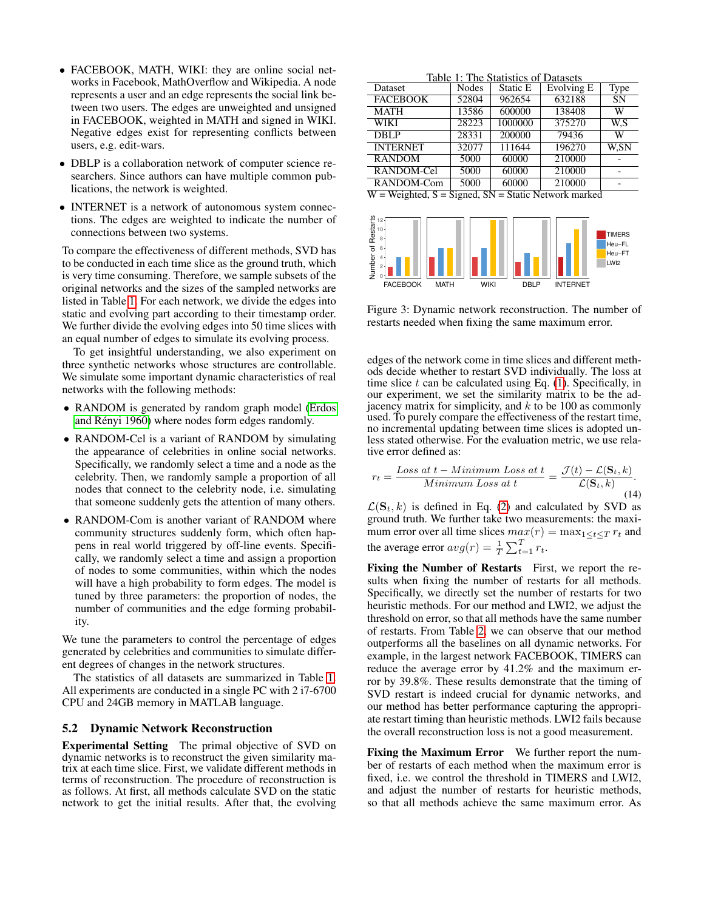- FACEBOOK, MATH, WIKI: they are online social networks in Facebook, MathOverflow and Wikipedia. A node represents a user and an edge represents the social link between two users. The edges are unweighted and unsigned in FACEBOOK, weighted in MATH and signed in WIKI. Negative edges exist for representing conflicts between users, e.g. edit-wars.
- DBLP is a collaboration network of computer science researchers. Since authors can have multiple common publications, the network is weighted.
- INTERNET is a network of autonomous system connections. The edges are weighted to indicate the number of connections between two systems.

To compare the effectiveness of different methods, SVD has to be conducted in each time slice as the ground truth, which is very time consuming. Therefore, we sample subsets of the original networks and the sizes of the sampled networks are listed in Table [1.](#page-5-0) For each network, we divide the edges into static and evolving part according to their timestamp order. We further divide the evolving edges into 50 time slices with an equal number of edges to simulate its evolving process.

To get insightful understanding, we also experiment on three synthetic networks whose structures are controllable. We simulate some important dynamic characteristics of real networks with the following methods:

- RANDOM is generated by random graph model [\(Erdos](#page-7-15) and Rényi 1960) where nodes form edges randomly.
- RANDOM-Cel is a variant of RANDOM by simulating the appearance of celebrities in online social networks. Specifically, we randomly select a time and a node as the celebrity. Then, we randomly sample a proportion of all nodes that connect to the celebrity node, i.e. simulating that someone suddenly gets the attention of many others.
- RANDOM-Com is another variant of RANDOM where community structures suddenly form, which often happens in real world triggered by off-line events. Specifically, we randomly select a time and assign a proportion of nodes to some communities, within which the nodes will have a high probability to form edges. The model is tuned by three parameters: the proportion of nodes, the number of communities and the edge forming probability.

We tune the parameters to control the percentage of edges generated by celebrities and communities to simulate different degrees of changes in the network structures.

The statistics of all datasets are summarized in Table [1.](#page-5-0) All experiments are conducted in a single PC with 2 i7-6700 CPU and 24GB memory in MATLAB language.

### 5.2 Dynamic Network Reconstruction

Experimental Setting The primal objective of SVD on dynamic networks is to reconstruct the given similarity matrix at each time slice. First, we validate different methods in terms of reconstruction. The procedure of reconstruction is as follows. At first, all methods calculate SVD on the static network to get the initial results. After that, the evolving

<span id="page-5-0"></span>

|  | Table 1: The Statistics of Datasets |  |
|--|-------------------------------------|--|
|  |                                     |  |

| Tuble 1. The Building of Builders |       |                 |            |                           |  |  |  |
|-----------------------------------|-------|-----------------|------------|---------------------------|--|--|--|
| <b>Dataset</b>                    | Nodes | <b>Static E</b> | Evolving E | Type                      |  |  |  |
| <b>FACEBOOK</b>                   | 52804 | 962654          | 632188     | <b>SN</b>                 |  |  |  |
| <b>MATH</b>                       | 13586 | 600000          | 138408     | W                         |  |  |  |
| <b>WIKI</b>                       | 28223 | 1000000         | 375270     | $\overline{\textrm{W.S}}$ |  |  |  |
| <b>DBLP</b>                       | 28331 | 200000          | 79436      | W                         |  |  |  |
| <b>INTERNET</b>                   | 32077 | 111644          | 196270     | W.SN                      |  |  |  |
| <b>RANDOM</b>                     | 5000  | 60000           | 210000     |                           |  |  |  |
| RANDOM-Cel                        | 5000  | 60000           | 210000     |                           |  |  |  |
| RANDOM-Com                        | 5000  | 60000           | 210000     |                           |  |  |  |
|                                   |       |                 |            |                           |  |  |  |

 $W = Weighted, S = Signal, SN = Static Network marked$ 



<span id="page-5-1"></span>Figure 3: Dynamic network reconstruction. The number of restarts needed when fixing the same maximum error.

edges of the network come in time slices and different methods decide whether to restart SVD individually. The loss at time slice  $t$  can be calculated using Eq. [\(1\)](#page-2-0). Specifically, in our experiment, we set the similarity matrix to be the adjacency matrix for simplicity, and  $k$  to be 100 as commonly used. To purely compare the effectiveness of the restart time, no incremental updating between time slices is adopted unless stated otherwise. For the evaluation metric, we use relative error defined as:

<span id="page-5-2"></span>
$$
r_{t} = \frac{Loss \ at \ t - Minimum \ Loss \ at \ t}{Minimum \ Loss \ at \ t} = \frac{\mathcal{J}(t) - \mathcal{L}(\mathbf{S}_{t}, k)}{\mathcal{L}(\mathbf{S}_{t}, k)}.
$$
\n(14)

 $\mathcal{L}(\mathbf{S}_t, k)$  is defined in Eq. [\(2\)](#page-3-4) and calculated by SVD as ground truth. We further take two measurements: the maximum error over all time slices  $max(r) = max_{1 \le t \le T} r_t$  and the average error  $avg(r) = \frac{1}{T} \sum_{t=1}^{T} r_t$ .

Fixing the Number of Restarts First, we report the results when fixing the number of restarts for all methods. Specifically, we directly set the number of restarts for two heuristic methods. For our method and LWI2, we adjust the threshold on error, so that all methods have the same number of restarts. From Table [2,](#page-6-0) we can observe that our method outperforms all the baselines on all dynamic networks. For example, in the largest network FACEBOOK, TIMERS can reduce the average error by 41.2% and the maximum error by 39.8%. These results demonstrate that the timing of SVD restart is indeed crucial for dynamic networks, and our method has better performance capturing the appropriate restart timing than heuristic methods. LWI2 fails because the overall reconstruction loss is not a good measurement.

Fixing the Maximum Error We further report the number of restarts of each method when the maximum error is fixed, i.e. we control the threshold in TIMERS and LWI2, and adjust the number of restarts for heuristic methods, so that all methods achieve the same maximum error. As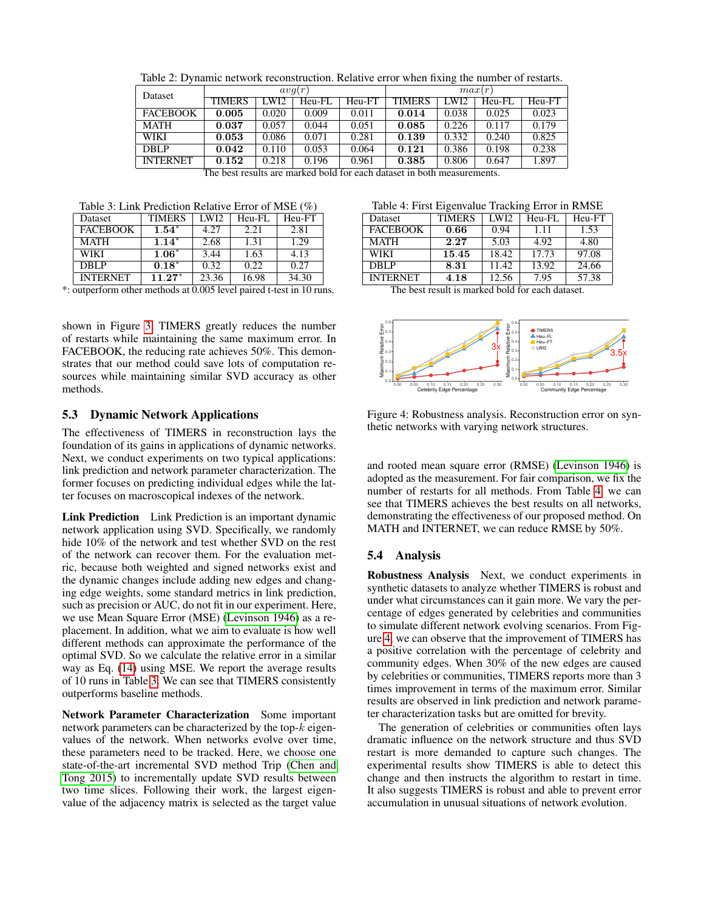<span id="page-6-0"></span>Table 2: Dynamic network reconstruction. Relative error when fixing the number of restarts.

| <b>Dataset</b>  | avq(r)        |                  |        | max(r) |               |       |        |        |
|-----------------|---------------|------------------|--------|--------|---------------|-------|--------|--------|
|                 | <b>TIMERS</b> | LWI <sub>2</sub> | Heu-FL | Heu-FT | <b>TIMERS</b> | LWI2  | Heu-FL | Heu-FT |
| <b>FACEBOOK</b> | 0.005         | 0.020            | 0.009  | 0.011  | 0.014         | 0.038 | 0.025  | 0.023  |
| <b>MATH</b>     | 0.037         | 0.057            | 0.044  | 0.051  | 0.085         | 0.226 | 0.117  | 0.179  |
| <b>WIKI</b>     | 0.053         | 0.086            | 0.071  | 0.281  | 0.139         | 0.332 | 0.240  | 0.825  |
| <b>DBLP</b>     | 0.042         | 0.110            | 0.053  | 0.064  | 0.121         | 0.386 | 0.198  | 0.238  |
| <b>INTERNET</b> | 0.152         | 0.218            | 0.196  | 0.961  | 0.385         | 0.806 | 0.647  | 1.897  |

| The best results are marked bold for each dataset in both measurements. |  |  |
|-------------------------------------------------------------------------|--|--|
|-------------------------------------------------------------------------|--|--|

<span id="page-6-1"></span>Table 3: Link Prediction Relative Error of MSE (%)

| Dataset         | <b>TIMERS</b> | LWI2  | Heu-FL | Heu-FT |
|-----------------|---------------|-------|--------|--------|
| <b>FACEBOOK</b> | $1.54*$       | 4.27  | 2.21   | 2.81   |
| <b>MATH</b>     | $1.14*$       | 2.68  | 1.31   | 1.29   |
| WIKI            | $1.06*$       | 3.44  | 1.63   | 4.13   |
| DBLP            | $0.18*$       | 0.32  | 0.22   | 0.27   |
| <b>INTERNET</b> | $11.27*$      | 23.36 | 16.98  | 34.30  |

\*: outperform other methods at 0.005 level paired t-test in 10 runs.

shown in Figure [3,](#page-5-1) TIMERS greatly reduces the number of restarts while maintaining the same maximum error. In FACEBOOK, the reducing rate achieves 50%. This demonstrates that our method could save lots of computation resources while maintaining similar SVD accuracy as other methods.

### 5.3 Dynamic Network Applications

The effectiveness of TIMERS in reconstruction lays the foundation of its gains in applications of dynamic networks. Next, we conduct experiments on two typical applications: link prediction and network parameter characterization. The former focuses on predicting individual edges while the latter focuses on macroscopical indexes of the network.

Link Prediction Link Prediction is an important dynamic network application using SVD. Specifically, we randomly hide 10% of the network and test whether SVD on the rest of the network can recover them. For the evaluation metric, because both weighted and signed networks exist and the dynamic changes include adding new edges and changing edge weights, some standard metrics in link prediction, such as precision or AUC, do not fit in our experiment. Here, we use Mean Square Error (MSE) [\(Levinson 1946\)](#page-7-16) as a replacement. In addition, what we aim to evaluate is how well different methods can approximate the performance of the optimal SVD. So we calculate the relative error in a similar way as Eq. [\(14\)](#page-5-2) using MSE. We report the average results of 10 runs in Table [3.](#page-6-1) We can see that TIMERS consistently outperforms baseline methods.

Network Parameter Characterization Some important network parameters can be characterized by the top- $k$  eigenvalues of the network. When networks evolve over time, these parameters need to be tracked. Here, we choose one state-of-the-art incremental SVD method Trip [\(Chen and](#page-7-2) [Tong 2015\)](#page-7-2) to incrementally update SVD results between two time slices. Following their work, the largest eigenvalue of the adjacency matrix is selected as the target value

<span id="page-6-2"></span>Table 4: First Eigenvalue Tracking Error in RMSE

| Dataset         | <b>TIMERS</b> | <b>LWI2</b> | Heu-FL | Heu-FT |
|-----------------|---------------|-------------|--------|--------|
| <b>FACEBOOK</b> | 0.66          | 0.94        | 1.11   | 1.53   |
| <b>MATH</b>     | 2.27          | 5.03        | 4.92   | 4.80   |
| WIKI            | 15.45         | 18.42       | 17.73  | 97.08  |
| DBLP            | 8.31          | 11.42       | 13.92  | 24.66  |
| <b>INTERNET</b> | 4.18          | 12.56       | 7.95   | 57.38  |
|                 |               |             |        |        |

The best result is marked bold for each dataset.



<span id="page-6-3"></span>Figure 4: Robustness analysis. Reconstruction error on synthetic networks with varying network structures.

and rooted mean square error (RMSE) [\(Levinson 1946\)](#page-7-16) is adopted as the measurement. For fair comparison, we fix the number of restarts for all methods. From Table [4,](#page-6-2) we can see that TIMERS achieves the best results on all networks, demonstrating the effectiveness of our proposed method. On MATH and INTERNET, we can reduce RMSE by 50%.

### 5.4 Analysis

Robustness Analysis Next, we conduct experiments in synthetic datasets to analyze whether TIMERS is robust and under what circumstances can it gain more. We vary the percentage of edges generated by celebrities and communities to simulate different network evolving scenarios. From Figure [4,](#page-6-3) we can observe that the improvement of TIMERS has a positive correlation with the percentage of celebrity and community edges. When 30% of the new edges are caused by celebrities or communities, TIMERS reports more than 3 times improvement in terms of the maximum error. Similar results are observed in link prediction and network parameter characterization tasks but are omitted for brevity.

The generation of celebrities or communities often lays dramatic influence on the network structure and thus SVD restart is more demanded to capture such changes. The experimental results show TIMERS is able to detect this change and then instructs the algorithm to restart in time. It also suggests TIMERS is robust and able to prevent error accumulation in unusual situations of network evolution.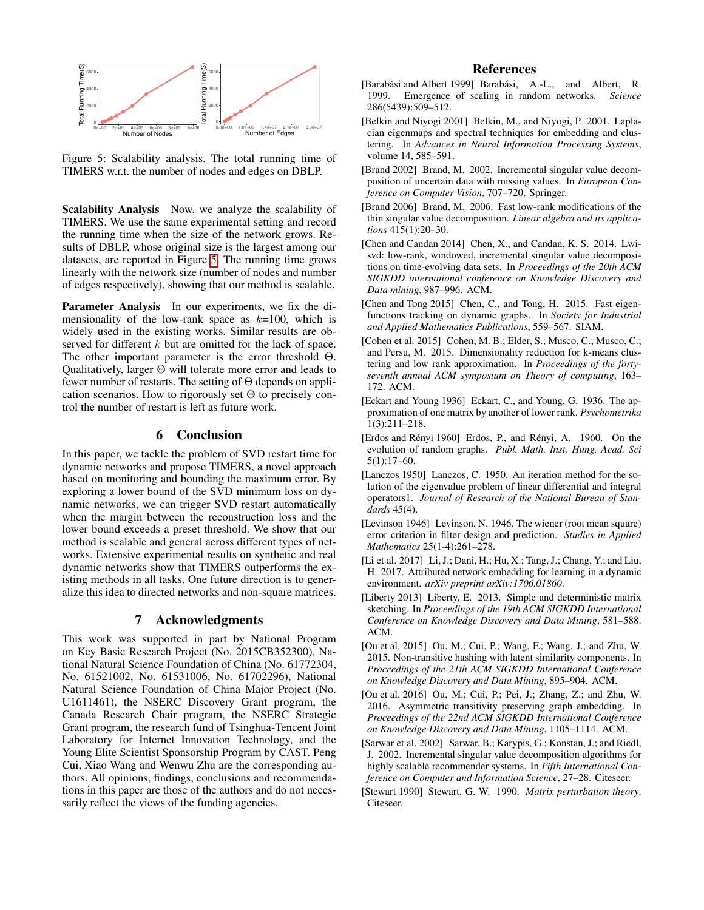

<span id="page-7-17"></span>Figure 5: Scalability analysis. The total running time of TIMERS w.r.t. the number of nodes and edges on DBLP.

Scalability Analysis Now, we analyze the scalability of TIMERS. We use the same experimental setting and record the running time when the size of the network grows. Results of DBLP, whose original size is the largest among our datasets, are reported in Figure [5.](#page-7-17) The running time grows linearly with the network size (number of nodes and number of edges respectively), showing that our method is scalable.

Parameter Analysis In our experiments, we fix the dimensionality of the low-rank space as  $k=100$ , which is widely used in the existing works. Similar results are observed for different k but are omitted for the lack of space. The other important parameter is the error threshold Θ. Qualitatively, larger  $\Theta$  will tolerate more error and leads to fewer number of restarts. The setting of Θ depends on application scenarios. How to rigorously set  $\Theta$  to precisely control the number of restart is left as future work.

# 6 Conclusion

In this paper, we tackle the problem of SVD restart time for dynamic networks and propose TIMERS, a novel approach based on monitoring and bounding the maximum error. By exploring a lower bound of the SVD minimum loss on dynamic networks, we can trigger SVD restart automatically when the margin between the reconstruction loss and the lower bound exceeds a preset threshold. We show that our method is scalable and general across different types of networks. Extensive experimental results on synthetic and real dynamic networks show that TIMERS outperforms the existing methods in all tasks. One future direction is to generalize this idea to directed networks and non-square matrices.

# 7 Acknowledgments

This work was supported in part by National Program on Key Basic Research Project (No. 2015CB352300), National Natural Science Foundation of China (No. 61772304, No. 61521002, No. 61531006, No. 61702296), National Natural Science Foundation of China Major Project (No. U1611461), the NSERC Discovery Grant program, the Canada Research Chair program, the NSERC Strategic Grant program, the research fund of Tsinghua-Tencent Joint Laboratory for Internet Innovation Technology, and the Young Elite Scientist Sponsorship Program by CAST. Peng Cui, Xiao Wang and Wenwu Zhu are the corresponding authors. All opinions, findings, conclusions and recommendations in this paper are those of the authors and do not necessarily reflect the views of the funding agencies.

# References

- <span id="page-7-14"></span>[Barabási and Albert 1999] Barabási, A.-L., and Albert, R. 1999. Emergence of scaling in random networks. *Science* 286(5439):509–512.
- <span id="page-7-7"></span>[Belkin and Niyogi 2001] Belkin, M., and Niyogi, P. 2001. Laplacian eigenmaps and spectral techniques for embedding and clustering. In *Advances in Neural Information Processing Systems*, volume 14, 585–591.
- <span id="page-7-9"></span>[Brand 2002] Brand, M. 2002. Incremental singular value decomposition of uncertain data with missing values. In *European Conference on Computer Vision*, 707–720. Springer.
- <span id="page-7-4"></span>[Brand 2006] Brand, M. 2006. Fast low-rank modifications of the thin singular value decomposition. *Linear algebra and its applications* 415(1):20–30.
- <span id="page-7-5"></span>[Chen and Candan 2014] Chen, X., and Candan, K. S. 2014. Lwisvd: low-rank, windowed, incremental singular value decompositions on time-evolving data sets. In *Proceedings of the 20th ACM SIGKDD international conference on Knowledge Discovery and Data mining*, 987–996. ACM.
- <span id="page-7-2"></span>[Chen and Tong 2015] Chen, C., and Tong, H. 2015. Fast eigenfunctions tracking on dynamic graphs. In *Society for Industrial and Applied Mathematics Publications*, 559–567. SIAM.
- <span id="page-7-11"></span>[Cohen et al. 2015] Cohen, M. B.; Elder, S.; Musco, C.; Musco, C.; and Persu, M. 2015. Dimensionality reduction for k-means clustering and low rank approximation. In *Proceedings of the fortyseventh annual ACM symposium on Theory of computing*, 163– 172. ACM.
- <span id="page-7-0"></span>[Eckart and Young 1936] Eckart, C., and Young, G. 1936. The approximation of one matrix by another of lower rank. *Psychometrika* 1(3):211–218.
- <span id="page-7-15"></span>[Erdos and Rényi 1960] Erdos, P., and Rényi, A. 1960. On the evolution of random graphs. *Publ. Math. Inst. Hung. Acad. Sci* 5(1):17–60.
- <span id="page-7-3"></span>[Lanczos 1950] Lanczos, C. 1950. An iteration method for the solution of the eigenvalue problem of linear differential and integral operators1. *Journal of Research of the National Bureau of Standards* 45(4).
- <span id="page-7-16"></span>[Levinson 1946] Levinson, N. 1946. The wiener (root mean square) error criterion in filter design and prediction. *Studies in Applied Mathematics* 25(1-4):261–278.
- <span id="page-7-13"></span>[Li et al. 2017] Li, J.; Dani, H.; Hu, X.; Tang, J.; Chang, Y.; and Liu, H. 2017. Attributed network embedding for learning in a dynamic environment. *arXiv preprint arXiv:1706.01860*.
- <span id="page-7-10"></span>[Liberty 2013] Liberty, E. 2013. Simple and deterministic matrix sketching. In *Proceedings of the 19th ACM SIGKDD International Conference on Knowledge Discovery and Data Mining*, 581–588. ACM.
- <span id="page-7-6"></span>[Ou et al. 2015] Ou, M.; Cui, P.; Wang, F.; Wang, J.; and Zhu, W. 2015. Non-transitive hashing with latent similarity components. In *Proceedings of the 21th ACM SIGKDD International Conference on Knowledge Discovery and Data Mining*, 895–904. ACM.
- <span id="page-7-1"></span>[Ou et al. 2016] Ou, M.; Cui, P.; Pei, J.; Zhang, Z.; and Zhu, W. 2016. Asymmetric transitivity preserving graph embedding. In *Proceedings of the 22nd ACM SIGKDD International Conference on Knowledge Discovery and Data Mining*, 1105–1114. ACM.
- <span id="page-7-8"></span>[Sarwar et al. 2002] Sarwar, B.; Karypis, G.; Konstan, J.; and Riedl, J. 2002. Incremental singular value decomposition algorithms for highly scalable recommender systems. In *Fifth International Conference on Computer and Information Science*, 27–28. Citeseer.
- <span id="page-7-12"></span>[Stewart 1990] Stewart, G. W. 1990. *Matrix perturbation theory*. Citeseer.